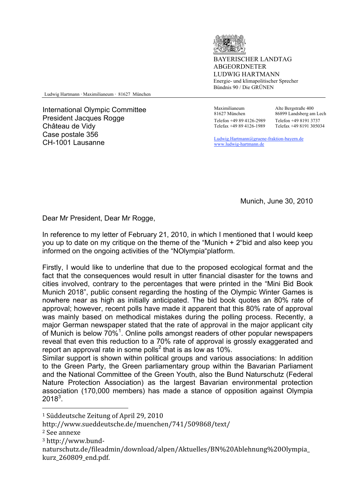

YERISCHER LANDTAG ABGEORDNETER LUDWIG HARTMANN Energie- und klimapolitischer Sprecher Bündnis 90 / Die GRÜNEN

Ludwig Hartmann ⋅ Maximilianeum ⋅ 81627 München

International Olympic Committee President Jacques Rogge Château de Vidy Case postale 356 CH-1001 Lausanne Ludwig.Hartmann@gruene-fraktion-bayern.de

 Maximilianeum 81627 München Telefon +49 89 4126-2989 Telefax +49 89 4126-1989

Alte Bergstraße 400 86899 Landsberg am Lech Telefon +49 8191 3737 Telefax +49 8191 305034

www.ludwig-hartmann.de

Munich, June 30, 2010

Dear Mr President, Dear Mr Rogge,

In reference to my letter of February 21, 2010, in which I mentioned that I would keep you up to date on my critique on the theme of the "Munich + 2"bid and also keep you informed on the ongoing activities of the "NOlympia"platform.

Firstly, I would like to underline that due to the proposed ecological format and the fact that the consequences would result in utter financial disaster for the towns and cities involved, contrary to the percentages that were printed in the "Mini Bid Book Munich 2018", public consent regarding the hosting of the Olympic Winter Games is nowhere near as high as initially anticipated. The bid book quotes an 80% rate of approval; however, recent polls have made it apparent that this 80% rate of approval was mainly based on methodical mistakes during the polling process. Recently, a major German newspaper stated that the rate of approval in the major applicant city of Munich is below 70%<sup>1</sup>. Online polls amongst readers of other popular newspapers reveal that even this reduction to a 70% rate of approval is grossly exaggerated and report an approval rate in some polls<sup>2</sup> that is as low as 10%.

Similar support is shown within political groups and various associations: In addition to the Green Party, the Green parliamentary group within the Bavarian Parliament and the National Committee of the Green Youth, also the Bund Naturschutz (Federal Nature Protection Association) as the largest Bavarian environmental protection association (170,000 members) has made a stance of opposition against Olympia  $2018^3$ .

 $\overline{a}$ 

<sup>1</sup> Süddeutsche
Zeitung
of
April
29,
2010

http://www.sueddeutsche.de/muenchen/741/509868/text/

<sup>2</sup> See
annexe

<sup>3</sup>http://www.bund‐

naturschutz.de/fileadmin/download/alpen/Aktuelles/BN%20Ablehnung%20Olympia\_ kurz\_260809\_end.pdf.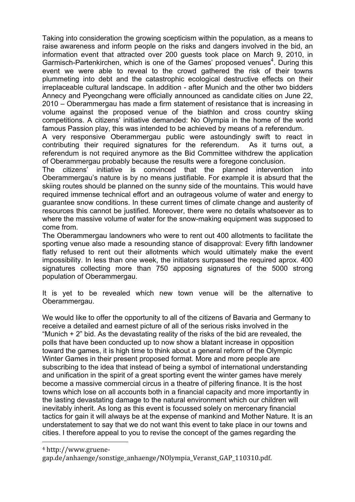Taking into consideration the growing scepticism within the population, as a means to raise awareness and inform people on the risks and dangers involved in the bid, an information event that attracted over 200 guests took place on March 9, 2010, in Garmisch-Partenkirchen, which is one of the Games' proposed venues<sup>4</sup>. During this event we were able to reveal to the crowd gathered the risk of their towns plummeting into debt and the catastrophic ecological destructive effects on their irreplaceable cultural landscape. In addition - after Munich and the other two bidders Annecy and Pyeongchang were officially announced as candidate cities on June 22, 2010 – Oberammergau has made a firm statement of resistance that is increasing in volume against the proposed venue of the biathlon and cross country skiing competitions. A citizens' initiative demanded: No Olympia in the home of the world famous Passion play, this was intended to be achieved by means of a referendum.

A very responsive Oberammergau public were astoundingly swift to react in contributing their required signatures for the referendum. As it turns out, a referendum is not required anymore as the Bid Committee withdrew the application of Oberammergau probably because the results were a foregone conclusion.

The citizens' initiative is convinced that the planned intervention into Oberammergau's nature is by no means justifiable. For example it is absurd that the skiing routes should be planned on the sunny side of the mountains. This would have required immense technical effort and an outrageous volume of water and energy to guarantee snow conditions. In these current times of climate change and austerity of resources this cannot be justified. Moreover, there were no details whatsoever as to where the massive volume of water for the snow-making equipment was supposed to come from.

The Oberammergau landowners who were to rent out 400 allotments to facilitate the sporting venue also made a resounding stance of disapproval: Every fifth landowner flatly refused to rent out their allotments which would ultimately make the event impossibility. In less than one week, the initiators surpassed the required aprox. 400 signatures collecting more than 750 apposing signatures of the 5000 strong population of Oberammergau.

It is yet to be revealed which new town venue will be the alternative to Oberammergau.

We would like to offer the opportunity to all of the citizens of Bavaria and Germany to receive a detailed and earnest picture of all of the serious risks involved in the "Munich  $+ 2$ " bid. As the devastating reality of the risks of the bid are revealed, the polls that have been conducted up to now show a blatant increase in opposition toward the games, it is high time to think about a general reform of the Olympic Winter Games in their present proposed format. More and more people are subscribing to the idea that instead of being a symbol of international understanding and unification in the spirit of a great sporting event the winter games have merely become a massive commercial circus in a theatre of pilfering finance. It is the host towns which lose on all accounts both in a financial capacity and more importantly in the lasting devastating damage to the natural environment which our children will inevitably inherit. As long as this event is focussed solely on mercenary financial tactics for gain it will always be at the expense of mankind and Mother Nature. It is an understatement to say that we do not want this event to take place in our towns and cities. I therefore appeal to you to revise the concept of the games regarding the

<sup>4</sup> http://www.gruene‐

 $\overline{a}$ 

gap.de/anhaenge/sonstige\_anhaenge/NOlympia\_Veranst\_GAP\_110310.pdf.